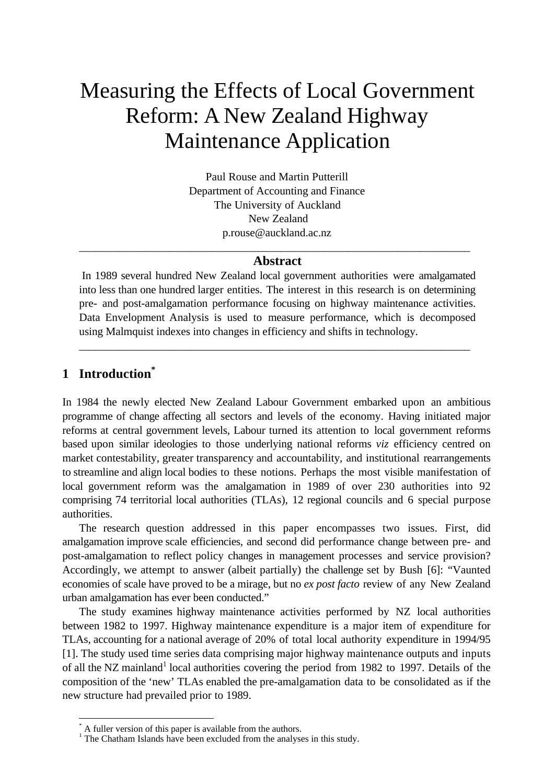# Measuring the Effects of Local Government Reform: A New Zealand Highway Maintenance Application

Paul Rouse and Martin Putterill Department of Accounting and Finance The University of Auckland New Zealand p.rouse@auckland.ac.nz

## \_\_\_\_\_\_\_\_\_\_\_\_\_\_\_\_\_\_\_\_\_\_\_\_\_\_\_\_\_\_\_\_\_\_\_\_\_\_\_\_\_\_\_\_\_\_\_\_\_\_\_\_\_\_\_\_\_\_\_\_\_\_\_\_\_\_\_\_\_\_ **Abstract**

 In 1989 several hundred New Zealand local government authorities were amalgamated into less than one hundred larger entities. The interest in this research is on determining pre- and post-amalgamation performance focusing on highway maintenance activities. Data Envelopment Analysis is used to measure performance, which is decomposed using Malmquist indexes into changes in efficiency and shifts in technology.

\_\_\_\_\_\_\_\_\_\_\_\_\_\_\_\_\_\_\_\_\_\_\_\_\_\_\_\_\_\_\_\_\_\_\_\_\_\_\_\_\_\_\_\_\_\_\_\_\_\_\_\_\_\_\_\_\_\_\_\_\_\_\_\_\_\_\_\_\_\_

# **1 Introduction\***

 $\overline{a}$ 

In 1984 the newly elected New Zealand Labour Government embarked upon an ambitious programme of change affecting all sectors and levels of the economy. Having initiated major reforms at central government levels, Labour turned its attention to local government reforms based upon similar ideologies to those underlying national reforms *viz* efficiency centred on market contestability, greater transparency and accountability, and institutional rearrangements to streamline and align local bodies to these notions. Perhaps the most visible manifestation of local government reform was the amalgamation in 1989 of over 230 authorities into 92 comprising 74 territorial local authorities (TLAs), 12 regional councils and 6 special purpose authorities.

The research question addressed in this paper encompasses two issues. First, did amalgamation improve scale efficiencies, and second did performance change between pre- and post-amalgamation to reflect policy changes in management processes and service provision? Accordingly, we attempt to answer (albeit partially) the challenge set by Bush [6]: "Vaunted economies of scale have proved to be a mirage, but no *ex post facto* review of any New Zealand urban amalgamation has ever been conducted."

The study examines highway maintenance activities performed by NZ local authorities between 1982 to 1997. Highway maintenance expenditure is a major item of expenditure for TLAs, accounting for a national average of 20% of total local authority expenditure in 1994/95 [1]. The study used time series data comprising major highway maintenance outputs and inputs of all the NZ mainland<sup>1</sup> local authorities covering the period from 1982 to 1997. Details of the composition of the 'new' TLAs enabled the pre-amalgamation data to be consolidated as if the new structure had prevailed prior to 1989.

<sup>\*</sup> A fuller version of this paper is available from the authors.

<sup>&</sup>lt;sup>1</sup> The Chatham Islands have been excluded from the analyses in this study.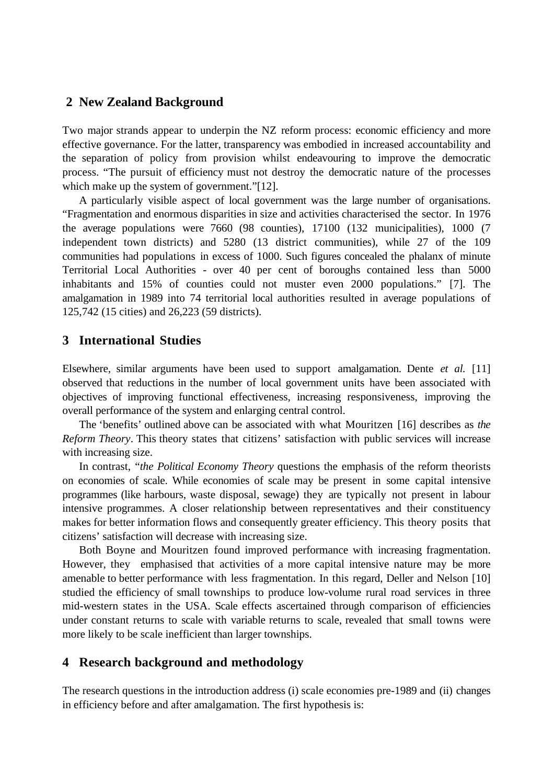# **2 New Zealand Background**

Two major strands appear to underpin the NZ reform process: economic efficiency and more effective governance. For the latter, transparency was embodied in increased accountability and the separation of policy from provision whilst endeavouring to improve the democratic process. "The pursuit of efficiency must not destroy the democratic nature of the processes which make up the system of government."[12].

A particularly visible aspect of local government was the large number of organisations. "Fragmentation and enormous disparities in size and activities characterised the sector. In 1976 the average populations were 7660 (98 counties), 17100 (132 municipalities), 1000 (7 independent town districts) and 5280 (13 district communities), while 27 of the 109 communities had populations in excess of 1000. Such figures concealed the phalanx of minute Territorial Local Authorities - over 40 per cent of boroughs contained less than 5000 inhabitants and 15% of counties could not muster even 2000 populations." [7]. The amalgamation in 1989 into 74 territorial local authorities resulted in average populations of 125,742 (15 cities) and 26,223 (59 districts).

# **3 International Studies**

Elsewhere, similar arguments have been used to support amalgamation. Dente *et al.* [11] observed that reductions in the number of local government units have been associated with objectives of improving functional effectiveness, increasing responsiveness, improving the overall performance of the system and enlarging central control.

The 'benefits' outlined above can be associated with what Mouritzen [16] describes as *the Reform Theory*. This theory states that citizens' satisfaction with public services will increase with increasing size.

In contrast, "*the Political Economy Theory* questions the emphasis of the reform theorists on economies of scale. While economies of scale may be present in some capital intensive programmes (like harbours, waste disposal, sewage) they are typically not present in labour intensive programmes. A closer relationship between representatives and their constituency makes for better information flows and consequently greater efficiency. This theory posits that citizens' satisfaction will decrease with increasing size.

Both Boyne and Mouritzen found improved performance with increasing fragmentation. However, they emphasised that activities of a more capital intensive nature may be more amenable to better performance with less fragmentation. In this regard, Deller and Nelson [10] studied the efficiency of small townships to produce low-volume rural road services in three mid-western states in the USA. Scale effects ascertained through comparison of efficiencies under constant returns to scale with variable returns to scale, revealed that small towns were more likely to be scale inefficient than larger townships.

# **4 Research background and methodology**

The research questions in the introduction address (i) scale economies pre-1989 and (ii) changes in efficiency before and after amalgamation. The first hypothesis is: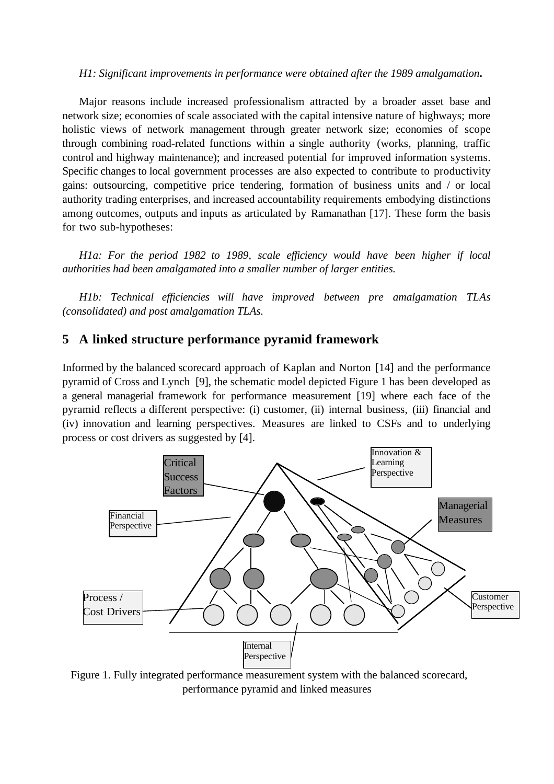#### *H1: Significant improvements in performance were obtained after the 1989 amalgamation***.**

Major reasons include increased professionalism attracted by a broader asset base and network size; economies of scale associated with the capital intensive nature of highways; more holistic views of network management through greater network size; economies of scope through combining road-related functions within a single authority (works, planning, traffic control and highway maintenance); and increased potential for improved information systems. Specific changes to local government processes are also expected to contribute to productivity gains: outsourcing, competitive price tendering, formation of business units and / or local authority trading enterprises, and increased accountability requirements embodying distinctions among outcomes, outputs and inputs as articulated by Ramanathan [17]. These form the basis for two sub-hypotheses:

*H1a: For the period 1982 to 1989, scale efficiency would have been higher if local authorities had been amalgamated into a smaller number of larger entities.*

*H1b: Technical efficiencies will have improved between pre amalgamation TLAs (consolidated) and post amalgamation TLAs.*

## **5 A linked structure performance pyramid framework**

Informed by the balanced scorecard approach of Kaplan and Norton [14] and the performance pyramid of Cross and Lynch [9], the schematic model depicted Figure 1 has been developed as a general managerial framework for performance measurement [19] where each face of the pyramid reflects a different perspective: (i) customer, (ii) internal business, (iii) financial and (iv) innovation and learning perspectives. Measures are linked to CSFs and to underlying process or cost drivers as suggested by [4].



Figure 1. Fully integrated performance measurement system with the balanced scorecard, performance pyramid and linked measures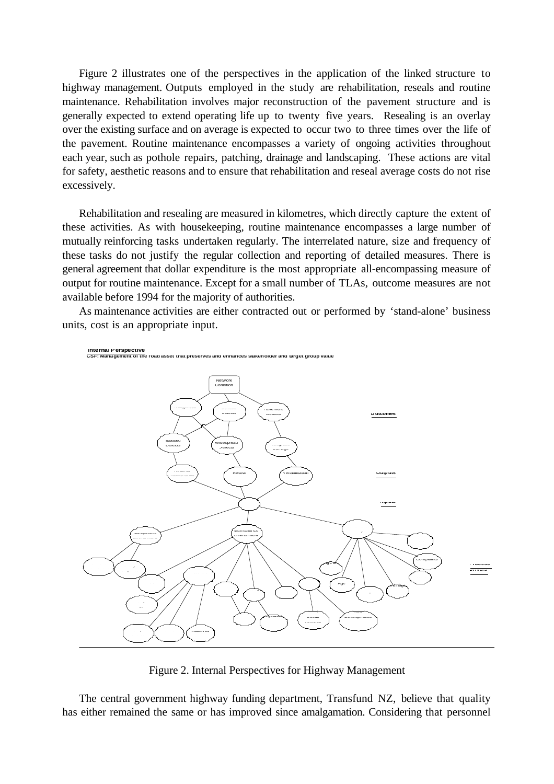Figure 2 illustrates one of the perspectives in the application of the linked structure to highway management. Outputs employed in the study are rehabilitation, reseals and routine maintenance. Rehabilitation involves major reconstruction of the pavement structure and is generally expected to extend operating life up to twenty five years. Resealing is an overlay over the existing surface and on average is expected to occur two to three times over the life of the pavement. Routine maintenance encompasses a variety of ongoing activities throughout each year, such as pothole repairs, patching, drainage and landscaping. These actions are vital for safety, aesthetic reasons and to ensure that rehabilitation and reseal average costs do not rise excessively.

Rehabilitation and resealing are measured in kilometres, which directly capture the extent of these activities. As with housekeeping, routine maintenance encompasses a large number of mutually reinforcing tasks undertaken regularly. The interrelated nature, size and frequency of these tasks do not justify the regular collection and reporting of detailed measures. There is general agreement that dollar expenditure is the most appropriate all-encompassing measure of output for routine maintenance. Except for a small number of TLAs, outcome measures are not available before 1994 for the majority of authorities.

As maintenance activities are either contracted out or performed by 'stand-alone' business units, cost is an appropriate input.



Figure 2. Internal Perspectives for Highway Management

The central government highway funding department, Transfund NZ, believe that quality has either remained the same or has improved since amalgamation. Considering that personnel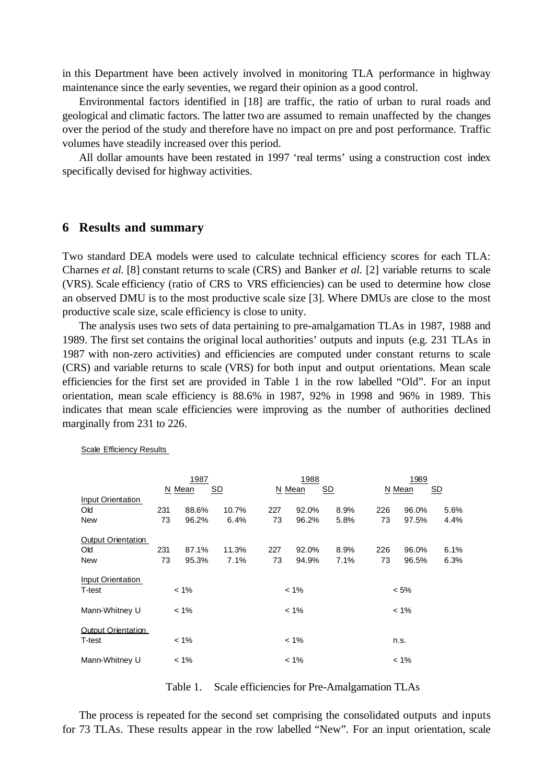in this Department have been actively involved in monitoring TLA performance in highway maintenance since the early seventies, we regard their opinion as a good control.

Environmental factors identified in [18] are traffic, the ratio of urban to rural roads and geological and climatic factors. The latter two are assumed to remain unaffected by the changes over the period of the study and therefore have no impact on pre and post performance. Traffic volumes have steadily increased over this period.

All dollar amounts have been restated in 1997 'real terms' using a construction cost index specifically devised for highway activities.

#### **6 Results and summary**

Two standard DEA models were used to calculate technical efficiency scores for each TLA: Charnes *et al.* [8] constant returns to scale (CRS) and Banker *et al.* [2] variable returns to scale (VRS). Scale efficiency (ratio of CRS to VRS efficiencies) can be used to determine how close an observed DMU is to the most productive scale size [3]. Where DMUs are close to the most productive scale size, scale efficiency is close to unity.

The analysis uses two sets of data pertaining to pre-amalgamation TLAs in 1987, 1988 and 1989. The first set contains the original local authorities' outputs and inputs (e.g. 231 TLAs in 1987 with non-zero activities) and efficiencies are computed under constant returns to scale (CRS) and variable returns to scale (VRS) for both input and output orientations. Mean scale efficiencies for the first set are provided in Table 1 in the row labelled "Old". For an input orientation, mean scale efficiency is 88.6% in 1987, 92% in 1998 and 96% in 1989. This indicates that mean scale efficiencies were improving as the number of authorities declined marginally from 231 to 226.

|                                    | 1987         |       |       | 1988<br>N Mean<br><u>SD</u> |              |      | 1989    |       |      |
|------------------------------------|--------------|-------|-------|-----------------------------|--------------|------|---------|-------|------|
| Input Orientation                  | SD<br>N Mean |       |       |                             | N Mean<br>SD |      |         |       |      |
| <b>Old</b>                         | 231          | 88.6% | 10.7% | 227                         | 92.0%        | 8.9% | 226     | 96.0% | 5.6% |
| <b>New</b>                         | 73           | 96.2% | 6.4%  | 73                          | 96.2%        | 5.8% | 73      | 97.5% | 4.4% |
| Output Orientation                 |              |       |       |                             |              |      |         |       |      |
| Old                                | 231          | 87.1% | 11.3% | 227                         | 92.0%        | 8.9% | 226     | 96.0% | 6.1% |
| <b>New</b>                         | 73           | 95.3% | 7.1%  | 73                          | 94.9%        | 7.1% | 73      | 96.5% | 6.3% |
| <b>Input Orientation</b><br>T-test | $< 1\%$      |       |       | $< 1\%$                     |              |      | $< 5\%$ |       |      |
| Mann-Whitney U                     | $< 1\%$      |       |       | $< 1\%$                     |              |      | $< 1\%$ |       |      |
| Output Orientation<br>T-test       | $< 1\%$      |       |       | $< 1\%$                     |              |      | n.s.    |       |      |
| Mann-Whitney U                     | $< 1\%$      |       |       | $< 1\%$                     |              |      | $< 1\%$ |       |      |

Scale Efficiency Results

Table 1. Scale efficiencies for Pre-Amalgamation TLAs

The process is repeated for the second set comprising the consolidated outputs and inputs for 73 TLAs. These results appear in the row labelled "New". For an input orientation, scale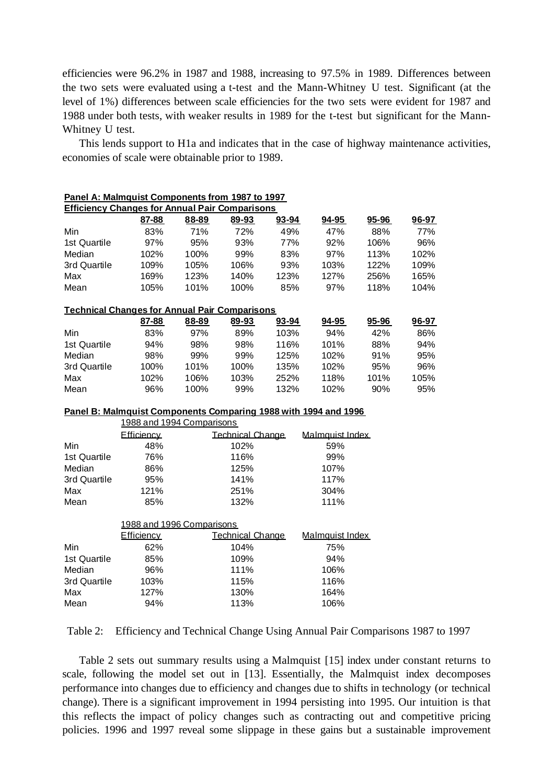efficiencies were 96.2% in 1987 and 1988, increasing to 97.5% in 1989. Differences between the two sets were evaluated using a t-test and the Mann-Whitney U test. Significant (at the level of 1%) differences between scale efficiencies for the two sets were evident for 1987 and 1988 under both tests, with weaker results in 1989 for the t-test but significant for the Mann-Whitney U test.

This lends support to H1a and indicates that in the case of highway maintenance activities, economies of scale were obtainable prior to 1989.

|              | Panel A: Malmquist Components from 1987 to 1997                 |       |                         |       |                 |       |       |
|--------------|-----------------------------------------------------------------|-------|-------------------------|-------|-----------------|-------|-------|
|              | <b>Efficiency Changes for Annual Pair Comparisons</b>           |       |                         |       |                 |       |       |
|              | 87-88                                                           | 88-89 | 89-93                   | 93-94 | 94-95           | 95-96 | 96-97 |
| Min          | 83%                                                             | 71%   | 72%                     | 49%   | 47%             | 88%   | 77%   |
| 1st Quartile | 97%                                                             | 95%   | 93%                     | 77%   | 92%             | 106%  | 96%   |
| Median       | 102%                                                            | 100%  | 99%                     | 83%   | 97%             | 113%  | 102%  |
| 3rd Quartile | 109%                                                            | 105%  | 106%                    | 93%   | 103%            | 122%  | 109%  |
| Max          | 169%                                                            | 123%  | 140%                    | 123%  | 127%            | 256%  | 165%  |
| Mean         | 105%                                                            | 101%  | 100%                    | 85%   | 97%             | 118%  | 104%  |
|              | <b>Technical Changes for Annual Pair Comparisons</b>            |       |                         |       |                 |       |       |
|              | 87-88                                                           | 88-89 | 89-93                   | 93-94 | $94 - 95$       | 95-96 | 96-97 |
| Min          | 83%                                                             | 97%   | 89%                     | 103%  | 94%             | 42%   | 86%   |
| 1st Quartile | 94%                                                             | 98%   | 98%                     | 116%  | 101%            | 88%   | 94%   |
| Median       | 98%                                                             | 99%   | 99%                     | 125%  | 102%            | 91%   | 95%   |
| 3rd Quartile | 100%                                                            | 101%  | 100%                    | 135%  | 102%            | 95%   | 96%   |
| Max          | 102%                                                            | 106%  | 103%                    | 252%  | 118%            | 101%  | 105%  |
| Mean         | 96%                                                             | 100%  | 99%                     | 132%  | 102%            | 90%   | 95%   |
|              | Panel B: Malmquist Components Comparing 1988 with 1994 and 1996 |       |                         |       |                 |       |       |
|              | 1988 and 1994 Comparisons                                       |       |                         |       |                 |       |       |
|              | Efficiency                                                      |       | <b>Technical Change</b> |       | Malmquist Index |       |       |
| Min          | 48%                                                             |       | 102%                    |       | 59%             |       |       |
| 1st Quartile | 76%                                                             |       | 116%                    |       | 99%             |       |       |
| Median       | 86%                                                             |       | 125%                    |       | 107%            |       |       |
| 3rd Quartile | 95%                                                             |       | 141%                    |       | 117%            |       |       |
| Max          | 121%                                                            |       | 251%                    |       | 304%            |       |       |
| Mean         | 85%                                                             |       | 132%                    |       | 111%            |       |       |
|              | 1988 and 1996 Comparisons                                       |       |                         |       |                 |       |       |
|              | <b>Efficiency</b>                                               |       | <b>Technical Change</b> |       | Malmquist Index |       |       |
| Min          | 62%                                                             |       | 104%                    |       | 75%             |       |       |
| 1st Quartile | 85%                                                             |       | 109%                    |       | 94%             |       |       |
| Median       | 96%                                                             |       | 111%                    |       | 106%            |       |       |
| 3rd Quartile | 103%                                                            |       | 115%                    |       | 116%            |       |       |
| Max          | 127%                                                            |       | 130%                    |       | 164%            |       |       |
| Mean         | 94%                                                             |       | 113%                    |       | 106%            |       |       |

Table 2: Efficiency and Technical Change Using Annual Pair Comparisons 1987 to 1997

Table 2 sets out summary results using a Malmquist [15] index under constant returns to scale, following the model set out in [13]. Essentially, the Malmquist index decomposes performance into changes due to efficiency and changes due to shifts in technology (or technical change). There is a significant improvement in 1994 persisting into 1995. Our intuition is that this reflects the impact of policy changes such as contracting out and competitive pricing policies. 1996 and 1997 reveal some slippage in these gains but a sustainable improvement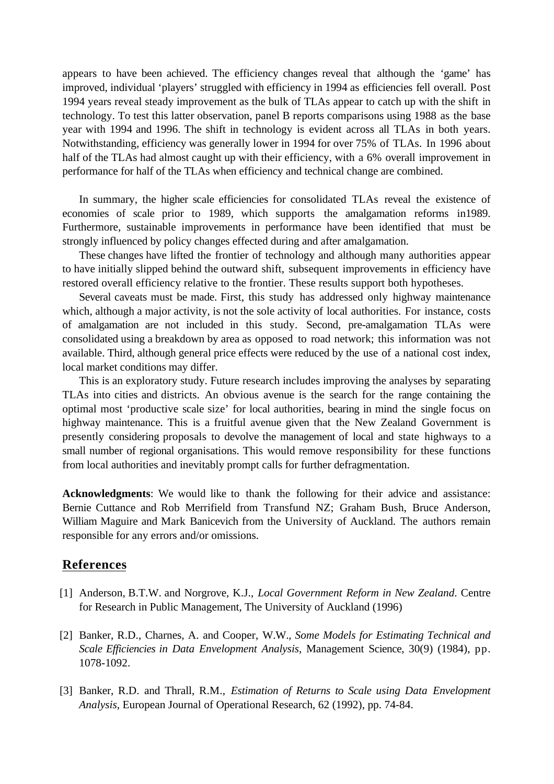appears to have been achieved. The efficiency changes reveal that although the 'game' has improved, individual 'players' struggled with efficiency in 1994 as efficiencies fell overall. Post 1994 years reveal steady improvement as the bulk of TLAs appear to catch up with the shift in technology. To test this latter observation, panel B reports comparisons using 1988 as the base year with 1994 and 1996. The shift in technology is evident across all TLAs in both years. Notwithstanding, efficiency was generally lower in 1994 for over 75% of TLAs. In 1996 about half of the TLAs had almost caught up with their efficiency, with a 6% overall improvement in performance for half of the TLAs when efficiency and technical change are combined.

In summary, the higher scale efficiencies for consolidated TLAs reveal the existence of economies of scale prior to 1989, which supports the amalgamation reforms in1989. Furthermore, sustainable improvements in performance have been identified that must be strongly influenced by policy changes effected during and after amalgamation.

These changes have lifted the frontier of technology and although many authorities appear to have initially slipped behind the outward shift, subsequent improvements in efficiency have restored overall efficiency relative to the frontier. These results support both hypotheses.

Several caveats must be made. First, this study has addressed only highway maintenance which, although a major activity, is not the sole activity of local authorities. For instance, costs of amalgamation are not included in this study. Second, pre-amalgamation TLAs were consolidated using a breakdown by area as opposed to road network; this information was not available. Third, although general price effects were reduced by the use of a national cost index, local market conditions may differ.

This is an exploratory study. Future research includes improving the analyses by separating TLAs into cities and districts. An obvious avenue is the search for the range containing the optimal most 'productive scale size' for local authorities, bearing in mind the single focus on highway maintenance. This is a fruitful avenue given that the New Zealand Government is presently considering proposals to devolve the management of local and state highways to a small number of regional organisations. This would remove responsibility for these functions from local authorities and inevitably prompt calls for further defragmentation.

**Acknowledgments**: We would like to thank the following for their advice and assistance: Bernie Cuttance and Rob Merrifield from Transfund NZ; Graham Bush, Bruce Anderson, William Maguire and Mark Banicevich from the University of Auckland. The authors remain responsible for any errors and/or omissions.

### **References**

- [1] Anderson, B.T.W. and Norgrove, K.J., *Local Government Reform in New Zealand*. Centre for Research in Public Management, The University of Auckland (1996)
- [2] Banker, R.D., Charnes, A. and Cooper, W.W., *Some Models for Estimating Technical and Scale Efficiencies in Data Envelopment Analysis*, Management Science, 30(9) (1984), pp. 1078-1092.
- [3] Banker, R.D. and Thrall, R.M., *Estimation of Returns to Scale using Data Envelopment Analysis*, European Journal of Operational Research, 62 (1992), pp. 74-84.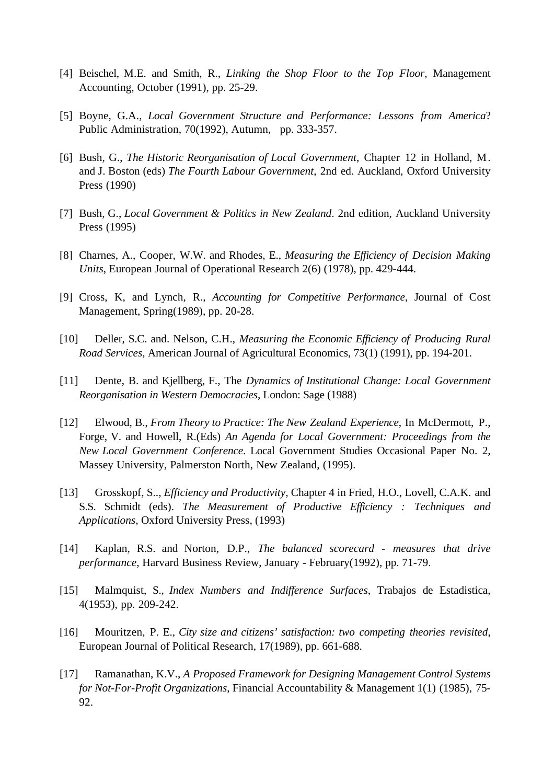- [4] Beischel, M.E. and Smith, R., *Linking the Shop Floor to the Top Floor*, Management Accounting, October (1991), pp. 25-29.
- [5] Boyne, G.A., *Local Government Structure and Performance: Lessons from America*? Public Administration, 70(1992), Autumn, pp. 333-357.
- [6] Bush, G., *The Historic Reorganisation of Local Government*, Chapter 12 in Holland, M. and J. Boston (eds) *The Fourth Labour Government*, 2nd ed. Auckland, Oxford University Press (1990)
- [7] Bush, G., *Local Government & Politics in New Zealand*. 2nd edition, Auckland University Press (1995)
- [8] Charnes, A., Cooper, W.W. and Rhodes, E., *Measuring the Efficiency of Decision Making Units*, European Journal of Operational Research 2(6) (1978), pp. 429-444.
- [9] Cross, K, and Lynch, R., *Accounting for Competitive Performance*, Journal of Cost Management, Spring(1989), pp. 20-28.
- [10] Deller, S.C. and. Nelson, C.H., *Measuring the Economic Efficiency of Producing Rural Road Services*, American Journal of Agricultural Economics, 73(1) (1991), pp. 194-201.
- [11] Dente, B. and Kjellberg, F., The *Dynamics of Institutional Change: Local Government Reorganisation in Western Democracies*, London: Sage (1988)
- [12] Elwood, B., *From Theory to Practice: The New Zealand Experience*, In McDermott, P., Forge, V. and Howell, R.(Eds) *An Agenda for Local Government: Proceedings from the New Local Government Conference*. Local Government Studies Occasional Paper No. 2, Massey University, Palmerston North, New Zealand, (1995).
- [13] Grosskopf, S.., *Efficiency and Productivity*, Chapter 4 in Fried, H.O., Lovell, C.A.K. and S.S. Schmidt (eds). *The Measurement of Productive Efficiency : Techniques and Applications*, Oxford University Press, (1993)
- [14] Kaplan, R.S. and Norton, D.P., *The balanced scorecard measures that drive performance*, Harvard Business Review, January - February(1992), pp. 71-79.
- [15] Malmquist, S., *Index Numbers and Indifference Surfaces*, Trabajos de Estadistica, 4(1953), pp. 209-242.
- [16] Mouritzen, P. E., *City size and citizens' satisfaction: two competing theories revisited*, European Journal of Political Research, 17(1989), pp. 661-688.
- [17] Ramanathan, K.V., *A Proposed Framework for Designing Management Control Systems for Not-For-Profit Organizations*, Financial Accountability & Management 1(1) (1985), 75- 92.